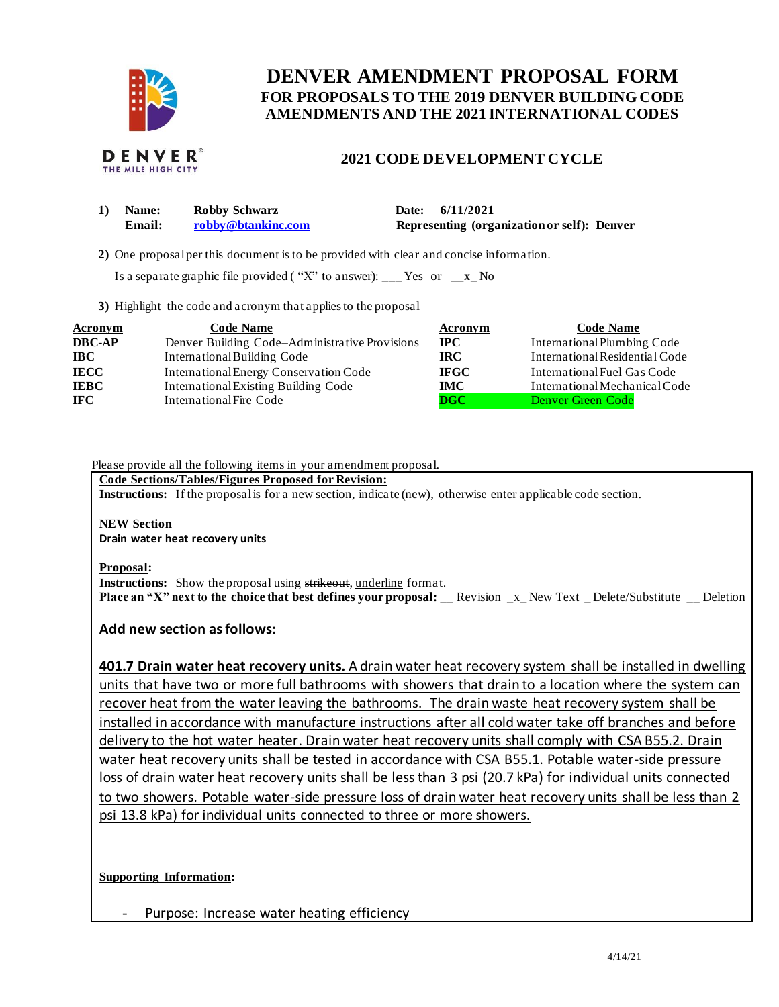

# **FOR PROPOSALS TO THE 2019 DENVER BUILDING CODE DENVER AMENDMENT PROPOSAL FORM AMENDMENTS AND THE 2021 INTERNATIONAL CODES**



### **2021 CODE DEVELOPMENT CYCLE**

| Name:  | Robby Schwarz      | Date: 6/11/2021                             |
|--------|--------------------|---------------------------------------------|
| Email: | robby@btankinc.com | Representing (organization or self): Denver |

**2)** One proposalper this document is to be provided with clear and concise information.

Is a separate graphic file provided ("X" to answer): \_\_\_ Yes or  $-x$  No

**3)** Highlight the code and acronym that applies to the proposal

| <b>Acronym</b> | <b>Code Name</b>                               | Acronym                 | <b>Code Name</b>               |
|----------------|------------------------------------------------|-------------------------|--------------------------------|
| <b>DBC-AP</b>  | Denver Building Code–Administrative Provisions | $\bf IPC$               | International Plumbing Code    |
| <b>IBC</b>     | International Building Code                    | IRC-                    | International Residential Code |
| <b>IECC</b>    | International Energy Conservation Code         | <b>IFGC</b>             | International Fuel Gas Code    |
| <b>IEBC</b>    | <b>International Existing Building Code</b>    | IMC                     | International Mechanical Code  |
| <b>IFC</b>     | International Fire Code                        | $\overline{\text{DGC}}$ | Denver Green Code              |

#### Please provide all the following items in your amendment proposal.

#### **Code Sections/Tables/Figures Proposed for Revision:**

**Instructions:** If the proposalis for a new section, indicate (new), otherwise enter applicable code section.

## **NEW Section**

 **Drain water heat recovery units** 

### **Proposal:**

**Instructions:** Show the proposal using strikeout, underline format.  **Place an "X" next to the choice that best defines your proposal:** \_\_ Revision \_x\_ New Text \_ Delete/Substitute \_\_ Deletion

### **Add new section as follows:**

 **401.7 Drain water heat recovery units.** A drain water heat recovery system shall be installed in dwelling units that have two or more full bathrooms with showers that drain to a location where the system can recover heat from the water leaving the bathrooms. The drain waste heat recovery system shall be installed in accordance with manufacture instructions after all cold water take off branches and before delivery to the hot water heater. Drain water heat recovery units shall comply with CSA B55.2. Drain water heat recovery units shall be tested in accordance with CSA B55.1. Potable water-side pressure loss of drain water heat recovery units shall be less than 3 psi (20.7 kPa) for individual units connected to two showers. Potable water-side pressure loss of drain water heat recovery units shall be less than 2 psi 13.8 kPa) for individual units connected to three or more showers.

### **Supporting Information:**

- Purpose: Increase water heating efficiency